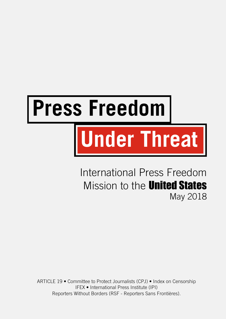# **Press Freedom**

# **Under Threat**

International Press Freedom Mission to the **United States** May 2018

ARTICLE 19 • Committee to Protect Journalists (CPJ) • Index on Censorship IFEX • International Press Institute (IPI) Reporters Without Borders (RSF - Reporters Sans Frontières).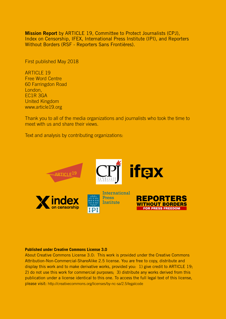Mission Report by ARTICLE 19, Committee to Protect Journalists (CPJ), Index on Censorship, IFEX, International Press Institute (IPI), and Reporters Without Borders (RSF - Reporters Sans Frontières).

First published May 2018

**ARTICLE 19** Free Word Centre 60 Farringdon Road London, EC1R 3GA United Kingdom www.article19.org

Thank you to all of the media organizations and journalists who took the time to meet with us and share their views.

Text and analysis by contributing organizations:



### **Published under Creative Commons License 3.0**

About Creative Commons License 3.0: This work is provided under the Creative Commons Attribution-Non-Commercial-ShareAlike 2.5 license. You are free to copy, distribute and display this work and to make derivative works, provided you: 1) give credit to ARTICLE 19; 2) do not use this work for commercial purposes; 3) distribute any works derived from this publication under a license identical to this one. To access the full legal text of this license, please visit: <http://creativecommons.org/licenses/by-nc-sa/2.5/legalcode>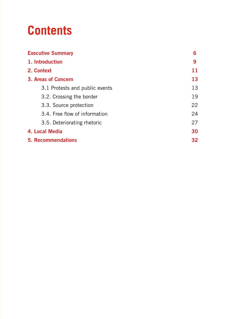# **Contents**

| <b>Executive Summary</b>       | 6  |
|--------------------------------|----|
| 1. Introduction                | 9  |
| 2. Context                     | 11 |
| 3. Areas of Concern            | 13 |
| 3.1 Protests and public events | 13 |
| 3.2. Crossing the border       | 19 |
| 3.3. Source protection         | 22 |
| 3.4. Free flow of information  | 24 |
| 3.5. Deteriorating rhetoric    | 27 |
| 4. Local Media                 | 30 |
| <b>5. Recommendations</b>      | 32 |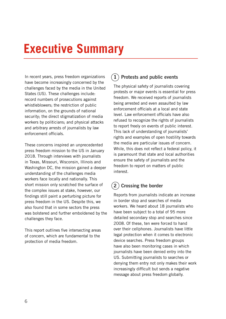# <span id="page-3-0"></span>**Executive Summary**

In recent years, press freedom organizations have become increasingly concerned by the challenges faced by the media in the United States (US). These challenges include: record numbers of prosecutions against whistleblowers; the restriction of public information, on the grounds of national security; the direct stigmatization of media workers by politicians; and physical attacks and arbitrary arrests of journalists by law enforcement officials.

These concerns inspired an unprecedented press freedom mission to the US in January 2018. Through interviews with journalists in Texas, Missouri, Wisconsin, Illinois and Washington DC, the mission gained a deeper understanding of the challenges media workers face locally and nationally. This short mission only scratched the surface of the complex issues at stake, however, our findings still paint a perturbing picture for press freedom in the US. Despite this, we also found that in some sectors the press was bolstered and further emboldened by the challenges they face.

This report outlines five intersecting areas of concern, which are fundamental to the protection of media freedom.

### $(1)$  Protests and public events

The physical safety of journalists covering protests or major events is essential for press freedom. We received reports of journalists being arrested and even assaulted by law enforcement officials at a local and state level. Law enforcement officials have also refused to recognize the rights of journalists to report freely on events of public interest. This lack of understanding of journalists' rights and examples of open hostility towards the media are particular issues of concern. While, this does not reflect a federal policy, it is paramount that state and local authorities ensure the safety of journalists and the freedom to report on matters of public interest.

### $(2)$  Crossing the border

Reports from journalists indicate an increase in border stop and searches of media workers. We heard about 18 journalists who have been subject to a total of 95 more detailed secondary stop and searches since 2008. Of these, ten were forced to hand over their cellphones. Journalists have little legal protection when it comes to electronic device searches. Press freedom groups have also been monitoring cases in which journalists have been denied entry into the US. Submitting journalists to searches or denying them entry not only makes their work increasingly difficult but sends a negative message about press freedom globally.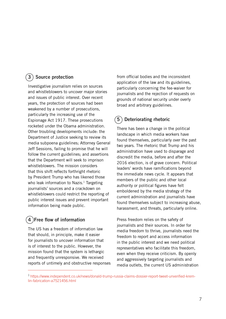### 3 Source protection

Investigative journalism relies on sources and whistleblowers to uncover major stories and issues of public interest. Over recent years, the protection of sources had been weakened by a number of prosecutions, particularly the increasing use of the Espionage Act 1917. These prosecutions rocketed under the Obama administration. Other troubling developments include: the Department of Justice seeking to review its media subpoena guidelines; Attorney General Jeff Sessions, failing to promise that he will follow the current guidelines; and assertions that the Department will seek to imprison whistleblowers. The mission considers that this shift reflects forthright rhetoric by President Trump who has likened those who leak information to Nazis. $1$  Targeting journalists' sources and a crackdown on whistleblowers could restrict the reporting of public interest issues and prevent important information being made public.

### $(4)$ Free flow of information

The US has a freedom of information law that should, in principle, make it easier for journalists to uncover information that is of interest to the public. However, the mission found that the system is lethargic and frequently unresponsive. We received reports of untimely and obstructive responses from official bodies and the inconsistent application of the law and its guidelines, particularly concerning the fee-waiver for journalists and the rejection of requests on grounds of national security under overly broad and arbitrary guidelines.

### 5 Deteriorating rhetoric

There has been a change in the political landscape in which media workers have found themselves, particularly over the past two years. The rhetoric that Trump and his administration have used to disparage and discredit the media, before and after the 2016 election, is of grave concern. Political leaders' words have ramifications beyond the immediate news cycle. It appears that members of the public and other local authority or political figures have felt emboldened by the media strategy of the current administration and journalists have found themselves subject to increasing abuse, harassment, and threats, particularly online.

Press freedom relies on the safety of journalists and their sources. In order for media freedom to thrive, journalists need the freedom to report and access information in the public interest and we need political representatives who facilitate this freedom, even when they receive criticism. By openly and aggressively targeting journalists and media outlets, the current US administration

<sup>1</sup> [https://www.independent.co.uk/news/donald-trump-russia-claims-dossier-report-tweet-unverified-krem]( https://www.independent.co.uk/news/donald-trump-russia-claims-dossier-report-tweet-unverified-kremlin-fabrication-a7521456.html)[lin-fabrication-a7521456.html]( https://www.independent.co.uk/news/donald-trump-russia-claims-dossier-report-tweet-unverified-kremlin-fabrication-a7521456.html)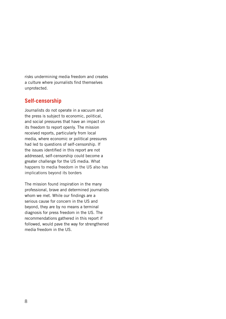risks undermining media freedom and creates a culture where journalists find themselves unprotected.

### **Self-censorship**

Journalists do not operate in a vacuum and the press is subject to economic, political, and social pressures that have an impact on its freedom to report openly. The mission received reports, particularly from local media, where economic or political pressures had led to questions of self-censorship. If the issues identified in this report are not addressed, self-censorship could become a greater challenge for the US media. What happens to media freedom in the US also has implications beyond its borders

The mission found inspiration in the many professional, brave and determined journalists whom we met. While our findings are a serious cause for concern in the US and beyond, they are by no means a terminal diagnosis for press freedom in the US. The recommendations gathered in this report if followed, would pave the way for strengthened media freedom in the US.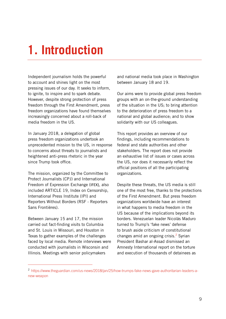# <span id="page-6-0"></span>**1. Introduction**

Independent journalism holds the powerful to account and shines light on the most pressing issues of our day. It seeks to inform, to ignite, to inspire and to spark debate. However, despite strong protection of press freedom through the First Amendment, press freedom organizations have found themselves increasingly concerned about a roll-back of media freedom in the US.

In January 2018, a delegation of global press freedom organizations undertook an unprecedented mission to the US, in response to concerns about threats to journalists and heightened anti-press rhetoric in the year since Trump took office.

The mission, organized by the Committee to Protect Journalists (CPJ) and International Freedom of Expression Exchange (IFEX), also included ARTICLE 19, Index on Censorship, International Press Institute (IPI) and Reporters Without Borders (RSF - Reporters Sans Frontières).

Between January 15 and 17, the mission carried out fact-finding visits to Columbia and St. Louis in Missouri, and Houston in Texas to gather examples of the challenges faced by local media. Remote interviews were conducted with journalists in Wisconsin and Illinois. Meetings with senior policymakers

and national media took place in Washington between January 18 and 19.

Our aims were to provide global press freedom groups with an on-the-ground understanding of the situation in the US; to bring attention to the deterioration of press freedom to a national and global audience; and to show solidarity with our US colleagues.

This report provides an overview of our findings, including recommendations to federal and state authorities and other stakeholders. The report does not provide an exhaustive list of issues or cases across the US, nor does it necessarily reflect the official positions of all the participating organizations.

Despite these threats, the US media is still one of the most free, thanks to the protections of the First Amendment. But press freedom organizations worldwide have an interest in what happens to media freedom in the US because of the implications beyond its borders. Venezuelan leader Nicolás Maduro turned to Trump's 'fake news' defense to brush aside criticism of constitutional changes amid an ongoing crisis. $2$  Syrian President Bashar al-Assad dismissed an Amnesty International report on the torture and execution of thousands of detainees as

<sup>2</sup> [https://www.theguardian.com/us-news/2018/jan/25/how-trumps-fake-news-gave-authoritarian-leaders-a](https://www.theguardian.com/us-news/2018/jan/25/how-trumps-fake-news-gave-authoritarian-leaders-a-new-weapon)[new-weapon](https://www.theguardian.com/us-news/2018/jan/25/how-trumps-fake-news-gave-authoritarian-leaders-a-new-weapon)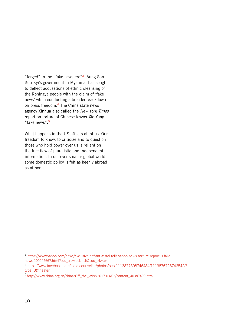"forged" in the "fake news era"<sup>3</sup>. Aung San Suu Kyi's government in Myanmar has sought to deflect accusations of ethnic cleansing of the Rohingya people with the claim of 'fake news' while conducting a broader crackdown on press freedom.<sup>4</sup> The China state news agency Xinhua also called the *New York Times* report on torture of Chinese lawyer Xie Yang "fake news".<sup>5</sup>

What happens in the US affects all of us. Our freedom to know, to criticize and to question those who hold power over us is reliant on the free flow of pluralistic and independent information. In our ever-smaller global world, some domestic policy is felt as keenly abroad as at home.

<sup>3</sup> [https://www.yahoo.com/news/exclusive-defiant-assad-tells-yahoo-news-torture-report-is-fake](https://www.yahoo.com/news/exclusive-defiant-assad-tells-yahoo-news-torture-report-is-fake-news-100042667.html?soc_src=social-sh&soc_trk=tw)[news-100042667.html?soc\\_src=social-sh&soc\\_trk=tw](https://www.yahoo.com/news/exclusive-defiant-assad-tells-yahoo-news-torture-report-is-fake-news-100042667.html?soc_src=social-sh&soc_trk=tw)

<sup>4</sup> [https://www.facebook.com/state.counsellor/photos/pcb.1113877308746484/1113876728746542/?](https://www.facebook.com/state.counsellor/photos/pcb.1113877308746484/1113876728746542/?type=3&theater) [type=3&theater](https://www.facebook.com/state.counsellor/photos/pcb.1113877308746484/1113876728746542/?type=3&theater)

<sup>&</sup>lt;sup>5</sup> [http://www.china.org.cn/china/Off\\_the\\_Wire/2017-03/02/content\\_40387499.htm](http://www.china.org.cn/china/Off_the_Wire/2017-03/02/content_40387499.htm)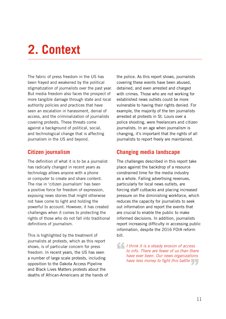# <span id="page-8-0"></span>**2. Context**

The fabric of press freedom in the US has been frayed and weakened by the political stigmatization of journalists over the past year. But media freedom also faces the prospect of more tangible damage through state and local authority policies and practices that have seen an escalation in harassment, denial of access, and the criminalization of journalists covering protests. These threats come against a background of political, social, and technological change that is affecting journalism in the US and beyond.

### **Citizen journalism**

The definition of what it is to be a journalist has radically changed in recent years as technology allows anyone with a phone or computer to create and share content. The rise in 'citizen journalism' has been a positive force for freedom of expression, exposing news stories that might otherwise not have come to light and holding the powerful to account. However, it has created challenges when it comes to protecting the rights of those who do not fall into traditional definitions of journalism.

This is highlighted by the treatment of journalists at protests, which as this report shows, is of particular concern for press freedom. In recent years, the US has seen a number of large scale protests, including opposition to the Dakota Access Pipeline and Black Lives Matters protests about the deaths of African-Americans at the hands of

the police. As this report shows, journalists covering these events have been abused, detained, and even arrested and charged with crimes. Those who are not working for established news outlets could be more vulnerable to having their rights denied. For example, the majority of the ten journalists arrested at protests in St. Louis over a police shooting, were freelancers and citizen journalists. In an age when journalism is changing, it's important that the rights of all journalists to report freely are maintained.

### **Changing media landscape**

The challenges described in this report take place against the backdrop of a resource constrained time for the media industry as a whole. Falling advertising revenues, particularly for local news outlets, are forcing staff cutbacks and placing increased pressure on the diminishing workforce, which reduces the capacity for journalists to seek out information and report the events that are crucial to enable the public to make informed decisions. In addition, journalists report increasing difficulty in accessing public information, despite the 2016 FOIA reform bill.

*I* think it is a steady erosion of access to info. There are fewer of us than the have ever been. Our news organization *to info. There are fewer of us than there have ever been. Our news organizations*  have less money to fight this battle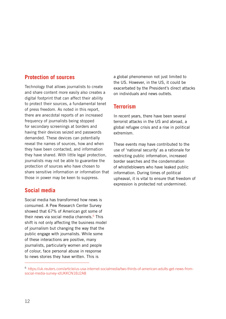### **Protection of sources**

Technology that allows journalists to create and share content more easily also creates a digital footprint that can affect their ability to protect their sources, a fundamental tenet of press freedom. As noted in this report, there are anecdotal reports of an increased frequency of journalists being stopped for secondary screenings at borders and having their devices seized and passwords demanded. These devices can potentially reveal the names of sources, how and when they have been contacted, and information they have shared. With little legal protection, journalists may not be able to guarantee the protection of sources who have chosen to share sensitive information or information that those in power may be keen to suppress.

### **Social media**

Social media has transformed how news is consumed. A Pew Research Center Survey showed that 67% of American got some of their news via social media channels.<sup>6</sup> This shift is not only affecting the business model of journalism but changing the way that the public engage with journalists. While some of these interactions are positive, many journalists, particularly women and people of colour, face personal abuse in response to news stories they have written. This is

a global phenomenon not just limited to the US. However, in the US, it could be exacerbated by the President's direct attacks on individuals and news outlets.

### **Terrorism**

In recent years, there have been several terrorist attacks in the US and abroad, a global refugee crisis and a rise in political extremism.

These events may have contributed to the use of 'national security' as a rationale for restricting public information, increased border searches and the condemnation of whistleblowers who have leaked public information. During times of political upheaval, it is vital to ensure that freedom of expression is protected not undermined.

<sup>6</sup>[https://uk.reuters.com/article/us-usa-internet-socialmedia/two-thirds-of-american-adults-get-news-from](https://uk.reuters.com/article/us-usa-internet-socialmedia/two-thirds-of-american-adults-get-news-from-social-media-survey-idUKKCN1BJ2A8)[social-media-survey-idUKKCN1BJ2A8](https://uk.reuters.com/article/us-usa-internet-socialmedia/two-thirds-of-american-adults-get-news-from-social-media-survey-idUKKCN1BJ2A8)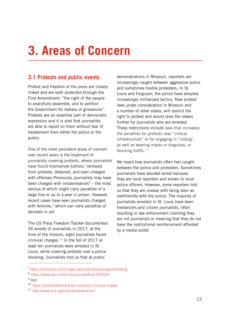# <span id="page-10-0"></span>**3. Areas of Concern**

### **3.1 Protests and public events**

Protest and freedom of the press are closely linked and are both protected through the First Amendment: "the right of the people to peacefully assemble, and to petition the Government for redress of grievances". Protests are an essential part of democratic expression and it is vital that journalists are able to report on them without fear of harassment from either the police or the public.

One of the most persistent areas of concern over recent years is the treatment of journalists covering protests, where journalists have found themselves kettled,<sup>7</sup> removed from protests, detained, and even charged with offenses Previously, journalists may have been charged with misdemeanors $8 -$  the most serious of which might carry penalties of a large fine or up to a year in prison. However, recent cases have seen journalists charged with felonies, $9$  which can carry penalties of decades in jail.

The US Press Freedom Tracker documented 34 arrests of journalists in 2017; at the time of the mission, eight journalists faced criminal charges.<sup>10</sup> In the fall of 2017 at least ten journalists were arrested in St. Louis, while covering protests over a police shooting. Journalists told us that at public

demonstrations in Missouri, reporters are increasingly caught between aggressive police and sometimes hostile protesters. In St. Louis and Ferguson, the police have adopted increasingly militarized tactics. New protest laws under consideration in Missouri and a number of other states, will restrict the right to protest and would raise the stakes further for journalists who are arrested. These restrictions include laws that increases the penalties for protests near "critical infrastructure" or for engaging in "rioting", as well as wearing masks or disguises, or blocking traffic. $11$ 

We heard how journalists often feel caught between the police and protesters. Sometimes journalists have avoided arrest because they are local reporters and known to local police officers. However, some reporters told us that they are uneasy with being seen as overfriendly with the police. The majority of journalists arrested in St. Louis have been freelancers and citizen journalists, often resulting in law enforcement claiming they are not journalists or meaning that they do not have the institutional reinforcement afforded by a media outlet.

<sup>7</sup> <https://dictionary.cambridge.org/us/dictionary/english/kettling>

<sup>8</sup> <https://www.law.cornell.edu/uscode/text/18/3559>  $9$  Ibid.

<sup>10</sup> <https://pressfreedomtracker.us/arrest-criminal-charge>

<sup>11</sup> http://www.icnl.org/usprotestlawtracker/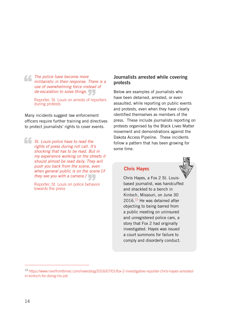*The police have become more militaristic in their response. 1*<br>
use of overwhelming force inst *militaristic in their response. There is a use of overwhelming force instead of* 

*de-escalation to solve things.*<br>
Reporter, St. Louis on arrests of rep<br>
during protests Reporter, St. Louis on arrests of reporters during protests

Many incidents suggest law enforcement officers require further training and directives to protect journalists' rights to cover events.

*St. Louis police have to read the rights of press during roll call. It's shocking that has to be read. But in my experience working on the streets it should almost be read daily. They will push you back from the scene, even when general public is on the scene [if they see you with a camera.]* "

Reporter, St. Louis on police behavior towards the press  $\bigcup_{\text{ehav}}$ 

### Journalists arrested while covering protests

Below are examples of journalists who have been detained, arrested, or even assaulted, while reporting on public events and protests, even when they have clearly identified themselves as members of the press. These include journalists reporting on protests organised by the Black Lives Matter movement and demonstrations against the Dakota Access Pipeline. These incidents follow a pattern that has been growing for some time.

### Chris Hayes



Chris Hayes, a Fox 2 St. Louisbased journalist, was handcuffed and shackled to a bench in Kinloch, Missouri, on June 30  $2016.<sup>12</sup>$  He was detained after objecting to being barred from a public meeting on uninsured and unregistered police cars, a story that Fox 2 had originally investigated. Hayes was issued a court summons for failure to comply and disorderly conduct.

<sup>12</sup> [https://www.riverfronttimes.com/newsblog/2016/07/01/fox-2-investigative-reporter-chris-hayes-arrested](https://www.riverfronttimes.com/newsblog/2016/07/01/fox-2-investigative-reporter-chris-hayes-arrested-in-kinloch-for-doing-his-job)[in-kinloch-for-doing-his-job](https://www.riverfronttimes.com/newsblog/2016/07/01/fox-2-investigative-reporter-chris-hayes-arrested-in-kinloch-for-doing-his-job)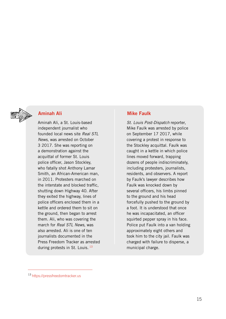

### Aminah Ali

Aminah Ali, a St. Louis-based independent journalist who founded local news site *Real STL News*, was arrested on October 3 2017. She was reporting on a demonstration against the acquittal of former St. Louis police officer, Jason Stockley, who fatally shot Anthony Lamar Smith, an African-American man, in 2011. Protesters marched on the interstate and blocked traffic, shutting down Highway 40. After they exited the highway, lines of police officers enclosed them in a kettle and ordered them to sit on the ground, then began to arrest them. Ali, who was covering the march for *Real STL News*, was also arrested. Ali is one of ten journalists documented in the Press Freedom Tracker as arrested during protests in St. Louis.<sup>13</sup>

### Mike Faulk

*St. Louis Post-Dispatch* reporter, Mike Faulk was arrested by police on September 17 2017, while covering a protest in response to the Stockley acquittal. Faulk was caught in a kettle in which police lines moved forward, trapping dozens of people indiscriminately, including protesters, journalists, residents, and observers. A report by Faulk's lawyer describes how Faulk was knocked down by several officers, his limbs pinned to the ground and his head forcefully pushed to the ground by a foot. It is understood that once he was incapacitated, an officer squirted pepper spray in his face. Police put Faulk into a van holding approximately eight others and took him to the city jail. Faulk was charged with failure to disperse, a municipal charge.

<sup>13</sup> <https://pressfreedomtracker.us>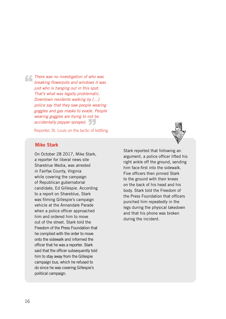*There was no investigation of who was<br>breaking flowerpots and windows it was<br>just who is hanging out in this spot. breaking flowerpots and windows it was just who is hanging out in this spot. That's what was legally problematic. Downtown residents walking by […] police say that they saw people wearing goggles and gas masks to evade. People wearing goggles are trying to not be accidentally pepper sprayed.*<br>Reporter, St. Louis on the tactic of l

Reporter, St. Louis on the tactic of kettling

### Mike Stark

On October 28 2017, Mike Stark, a reporter for liberal news site Shareblue Media, was arrested in Fairfax County, Virginia while covering the campaign of Republican gubernatorial candidate, Ed Gillespie. According to a report on Shareblue, Stark was filming Gillespie's campaign vehicle at the Annandale Parade when a police officer approached him and ordered him to move out of the street. Stark told the Freedom of the Press Foundation that he complied with the order to move onto the sidewalk and informed the officer that he was a reporter. Stark said that the officer subsequently told him to stay away from the Gillespie campaign bus, which he refused to do since he was covering Gillespie's political campaign.

Stark reported that following an argument, a police officer lifted his right ankle off the ground, sending him face-first into the sidewalk. Five officers then pinned Stark to the ground with their knees on the back of his head and his body. Stark told the Freedom of the Press Foundation that officers punched him repeatedly in the legs during the physical takedown and that his phone was broken during the incident.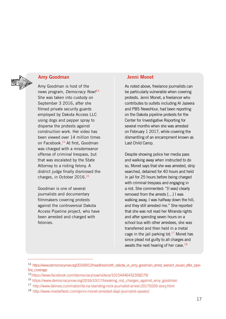

### Amy Goodman

Amy Goodman is host of the news program, *Democracy Now!*<sup>14</sup> She was taken into custody on September 3 2016, after she filmed private security guards employed by Dakota Access LLC using dogs and pepper spray to disperse the protests against construction work. Her video has been viewed over 14 million times on Facebook.15 At first, Goodman was charged with a misdemeanor offense of criminal trespass, but that was escalated by the State Attorney to a rioting felony. A district judge finally dismissed the charges, in October 2016.16

Goodman is one of several journalists and documentary filmmakers covering protests against the controversial Dakota Access Pipeline project, who have been arrested and charged with felonies.

### Jenni Monet

As noted above, freelance journalists can be particularly vulnerable when covering protests. Jenni Monet, a freelancer who contributes to outlets including Al Jazeera and PBS NewsHour, had been reporting on the Dakota pipeline protests for the Center for Investigative Reporting for several months when she was arrested on February 1 2017, while covering the dismantling of an encampment known as Last Child Camp.

Despite showing police her media pass and walking away when instructed to do so, Monet says that she was arrested, strip searched, detained for 40 hours and held in jail for 25 hours before being charged with criminal trespass and engaging in a riot. She commented: "[I was] clearly removed from the arrests […] I was walking away, I was halfway down the hill, and they still arrested me." She reported that she was not read her Miranda rights and after spending seven hours on a school bus with other arrestees, she was transferred and then held in a metal cage in the jail parking lot. $17$  Monet has since plead not guilty to all charges and awaits the next hearing of her case.<sup>18</sup>

<sup>14</sup> [https://www.democracynow.org/2016/9/12/headlines/north\\_dakota\\_vs\\_amy\\_goodman\\_arrest\\_warrant\\_issued\\_after\\_pipe](https://www.democracynow.org/2016/9/12/headlines/north_dakota_vs_amy_goodman_arrest_warrant_issued_after_pipeline_coverage)[line\\_coverage](https://www.democracynow.org/2016/9/12/headlines/north_dakota_vs_amy_goodman_arrest_warrant_issued_after_pipeline_coverage)

<sup>15</sup> <https://www.facebook.com/democracynow/videos/10154446432358279/>

<sup>16</sup> [https://www.democracynow.org/2016/10/17/breaking\\_riot\\_charges\\_against\\_amy\\_goodman](https://www.democracynow.org/2016/10/17/breaking_riot_charges_against_amy_goodman)

<sup>&</sup>lt;sup>17</sup> <http://www.latimes.com/nation/la-na-standing-rock-journalist-arrest-20170205-story.html>

<sup>18</sup><http://www.mediafiledc.com/jenni-monet-arrested-dapl-journalist-speaks/>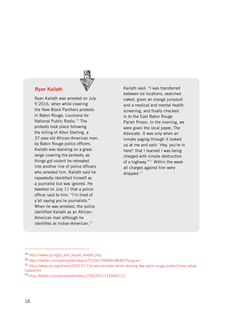### Ryan Kailath

Ryan Kailath was arrested on July 9 2016, when while covering the New Black Panthers protests in Baton Rouge, Louisiana for National Public Radio.<sup>19</sup> The protests took place following the killing of Alton Sterling, a 37-year-old African-American man, by Baton Rouge police officers. Kailath was standing on a grass verge covering the protests; as things got violent he retreated into another line of police officers who arrested him. Kailath said he repeatedly identified himself as a journalist but was ignored. He tweeted on July 11 that a police officer said to him: "I'm tired of y'all saying you're journalists." When he was arrested, the police identified Kailath as an African-American man although he identifies as Indian-American.<sup>20</sup>

Kailath said: "I was transferred between six locations, searched naked, given an orange jumpsuit and a medical and mental health screening, and finally checked in to the East Baton Rouge Parish Prison. In the morning, we were given the local paper, The Advocate. It was only when an inmate paging through it looked up at me and said: 'Hey, you're in here!' that I learned I was being charged with simple obstruction of a highway." $21$  Within the week all charges against him were dropped.<sup>22</sup>

<sup>&</sup>lt;sup>19</sup> [https://www.cjr.org/q\\_and\\_a/ryan\\_kailath.php](https://www.cjr.org/q_and_a/ryan_kailath.php)

<sup>20</sup> <https://twitter.com/ryankailath/status/752541299694186497?lang=en>

<sup>21</sup> https://www.pri.org/stories/2016-07-15/i-was-arrested-while-obeying-law-baton-rouge-protest-heres-whathappened

<sup>22</sup> <https://twitter.com/ryankailath/status/754105111140442112>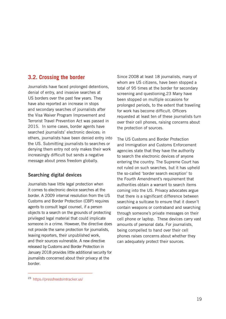### **3.2. Crossing the border**

Journalists have faced prolonged detentions, denial of entry, and invasive searches at US borders over the past few years. They have also reported an increase in stops and secondary searches of journalists after the Visa Waiver Program Improvement and Terrorist Travel Prevention Act was passed in 2015. In some cases, border agents have searched journalists' electronic devices; in others, journalists have been denied entry into the US. Submitting journalists to searches or denying them entry not only makes their work increasingly difficult but sends a negative message about press freedom globally.

### Searching digital devices

Journalists have little legal protection when it comes to electronic device searches at the border. A 2009 internal resolution from the US Customs and Border Protection (CBP) requires agents to consult legal counsel, if a person objects to a search on the grounds of protecting privileged legal material that could implicate someone in a crime. However, the directive does not provide the same protection for journalists, leaving reporters, their unpublished work, and their sources vulnerable. A new directive released by Customs and Border Protection in January 2018 provides little additional security for journalists concerned about their privacy at the border.

Since 2008 at least 18 journalists, many of whom are US citizens, have been stopped a total of 95 times at the border for secondary screening and questioning.23 Many have been stopped on multiple occasions for prolonged periods, to the extent that traveling for work has become difficult. Officers requested at least ten of these journalists turn over their cell phones, raising concerns about the protection of sources.

The US Customs and Border Protection and Immigration and Customs Enforcement agencies state that they have the authority to search the electronic devices of anyone entering the country. The Supreme Court has not ruled on such searches, but it has upheld the so-called 'border search exception' to the Fourth Amendment's requirement that authorities obtain a warrant to search items coming into the US. Privacy advocates argue that there is a significant difference between searching a suitcase to ensure that it doesn't contain weapons or contraband and searching through someone's private messages on their cell phone or laptop. These devices carry vast amounts of personal data. For journalists, being compelled to hand over their cell phones raises concerns about whether they can adequately protect their sources.

<sup>23</sup> [https://pressfreedomtracker.us/]( https://pressfreedomtracker.us/)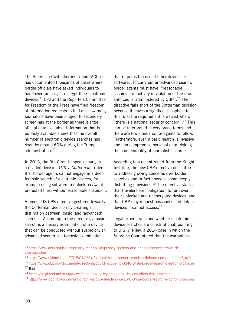The American Civil Liberties Union (ACLU) has documented thousands of cases where border officials have asked individuals to hand over, unlock, or decrypt their electronic devices.24 CPJ and the Reporters Committee for Freedom of the Press have filed freedom of information requests to find out how many journalists have been subject to secondary screenings at the border as there is little official data available. Information that is publicly available shows that the overall number of electronic device searches has risen by around 60% during the Trump administration.25

In 2013, the 9th Circuit appeals court, in a divided decision (*US v. Cotterman*), ruled that border agents cannot engage in a deep forensic search of electronic devices, for example using software to unlock password protected files, without reasonable suspicion.

A recent US CPB directive gestured towards the Cotterman decision by creating a distinction between 'basic' and 'advanced' searches. According to the directive, a basic search is a cursory examination of a device that can be conducted without suspicion; an advanced search is a forensic examination

that requires the use of other devices or software. To carry out an advanced search, border agents must have, "reasonable suspicion of activity in violation of the laws enforced or administered by CBP".<sup>26</sup> The directive falls short of the Cotterman decision because it leaves a significant loophole to this rule: the requirement is waived when, "there is a national security concern".<sup>27</sup> This can be interpreted in very broad terms and there are few standards for agents to follow. Furthermore, even a basic search is invasive and can compromise personal data, risking the confidentiality of journalists' sources.

According to [a r](https://knightcolumbia.org/news/cbps-new-policy-searching-devices-offers-thin-protection)ecent report from the Knight Institute, thenew CBP directive does little to address growing concerns over border searches and in fact encodes some deeply disturbing provisions.<sup>28</sup> The directive states that travelers are "obligated" to turn over their unlocked and unencrypted devices, and that CBP may request passcodes and detain devices it cannot access.29

Legal experts question whether electronic device searches are constitutional, pointing to U.S. v. Riley, a 2014 case in which the Supreme Court stated that the warrantless

<sup>24</sup> https://www.aclu.org/issues/privacy-technology/privacy-borders-and-checkpoints/electronic-device-searches

<sup>&</sup>lt;sup>25</sup> https://www.nytimes.com/2018/01/05/us/politics/trump-border-search-cellphone-computer.html? r=0

<sup>26</sup> https://www.cbp.gov/document/directives/cbp-directive-no-3340-049a-border-search-electronic-devices  $27$  Ibid

<sup>28</sup> <https://knightcolumbia.org/news/cbps-new-policy-searching-devices-offers-thin-protection>

<sup>29</sup> https://www.cbp.gov/document/directives/cbp-directive-no-3340-049a-border-search-electronic-devices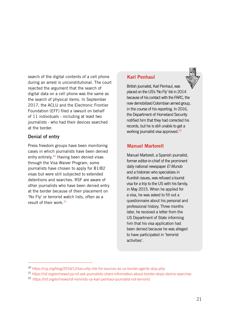search of the digital contents of a cell phone during an arrest is unconstitutional. The court rejected the argument that the search of digital data on a cell phone was the same as the search of physical items. In September 2017, the ACLU and the Electronic Frontier Foundation (EFF) filed a lawsuit on behalf of 11 individuals - including at least two journalists - who had their devices searched at the border.

### Denial of entry

Press freedom groups have been monitoring cases in which journalists have been denied entry entirely.<sup>30</sup> Having been denied visas through the Visa Waiver Program, some journalists have chosen to apply for B1/B2 visas but were still subjected to extended detentions and searches. RSF are aware of other journalists who have been denied entry at the border because of their placement on 'No Fly' or terrorist watch lists, often as a result of their work.<sup>31</sup>

### Karl Penhaul

British journalist, Karl Penhaul, was placed on the US's 'No Fly' list in 2014 because of his contact with the FARC, the now demobilized Colombian armed group, in the course of his reporting. In 2016, the Department of Homeland Security notified him that they had corrected his records, but he is still unable to get a working journalist visa approved.32

### Manuel Martorell

Manuel Martorell, a Spanish journalist, former editor-in-chief of the prominent daily national newspaper *El Mundo* and a historian who specializes in Kurdish issues, was refused a tourist visa for a trip to the US with his family, in May 2015. When he applied for a visa, he was asked to fill out a questionnaire about his personal and professional history. Three months later, he received a letter from the US Department of State informing him that his visa application had been denied because he was alleged to have participated in 'terrorist activities'.

<sup>30</sup> <https://cpj.org/blog/2016/12/security-risk-for-sources-as-us-border-agents-stop.php>

<sup>31</sup> <https://rsf.org/en/news/cpj-rsf-ask-journalists-share-information-about-border-stops-device-searches>

<sup>32</sup> [https://rsf.org/en/news/rsf-reminds-us-karl-penhaul-journalist-not-terrorist]( https://rsf.org/en/news/rsf-reminds-us-karl-penhaul-journalist-not-terrorist)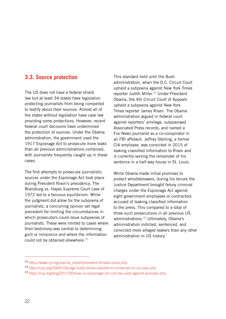### **3.3. Source protection**

The US does not have a federal shield law but at least 34 states have legislation protecting journalists from being compelled to testify about their sources. Almost all of the states without legislation have case law providing some protections. However, recent federal court decisions have undermined the protection of sources. Under the Obama administration, the government used the 1917 Espionage Act to prosecute more leaks than all previous administrations combined, with journalists frequently caught up in these cases.

The first attempts to prosecute journalistic sources under the Espionage Act took place during President Nixon's presidency. The Branzburg vs. Hayes Supreme Court case of 1972 led to a tenuous equilibrium. While the judgment did allow for the subpoena of journalists, a concurring opinion set legal precedent for limiting the circumstances in which prosecutors could issue subpoenas of journalists. These were limited to cases where their testimony was central to determining guilt or innocence and where the information could not be obtained elsewhere.<sup>33</sup>

This standard held until the Bush administration, when the D.C. Circuit Court upheld a subpoena against New York Times reporter Judith Miller.<sup>34</sup> Under President Obama, the 4th Circuit Court of Appeals upheld a subpoena against New York Times reporter James Risen. The Obama administration argued in federal court against reporters' privilege, subpoenaed Associated Press records, and named a Fox News journalist as a co-conspirator in an FBI affidavit. Jeffrey Sterling, a former CIA employee, was convicted in 2015 of leaking classified information to Risen and is currently serving the remainder of his sentence in a half-way house in St. Louis.

While Obama made initial promises to protect whistleblowers, during his tenure the Justice Department brought felony criminal charges under the Espionage Act against eight government employees or contractors accused of leaking classified information to the press. This compared to a total of three such prosecutions in all previous US administrations.<sup>35</sup> Ultimately, Obama's administration indicted, sentenced, and convicted more alleged leakers than any other administration in US history.

<sup>33</sup> [https://www.cjr.org/special\\_report/president-threats-press.php](https://www.cjr.org/special_report/president-threats-press.php)

<sup>34</sup> <https://cpj.org/2004/10/judge-holds-times-reporter-in-contempt-in-cia-case.php>

<sup>35</sup> <https://cpj.org/blog/2017/05/how-us-espionage-act-can-be-used-against-journalis.php>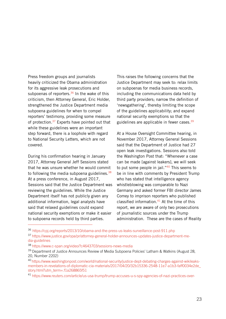Press freedom groups and journalists heavily criticized the Obama administration for its aggressive leak prosecutions and subpoenas of reporters. $36$  In the wake of this criticism, then Attorney General, Eric Holder, strengthened the Justice Department media subpoena guidelines for when to compel reporters' testimony, providing some measure of protection.<sup>37</sup> Experts have pointed out that while these guidelines were an important step forward, there is a loophole with regard to National Security Letters, which are not covered.

During his confirmation hearing in January 2017, Attorney General Jeff Session[s](https://www.c-span.org/video/?c4643703/sessions-news-media) stated that he was unsure whether he would commit to following the media subpoena guidelines.  $38$ At a press conference, in August 2017, Sessions said that the Justice Department was reviewing the guidelines. While the Justice Department itself has not publicly given any additional information, legal analysts have said that relaxed guidelines could expand national security exemptions or make it easier to subpoena records held by third parties.

This raises the following concerns that the Justice Department may seek to: relax limits on subpoenas for media business records, including the communications data held by third party providers; narrow the definition of 'newsgathering', thereby limiting the scope of the guidelines applicability; and expand national security exemptions so that the guidelines are applicable in fewer cases.<sup>39</sup>

At a House Oversight Committee hearing, in November 2017, Attorney General Sessions said that the Department of Justice had 27 open leak investigations. Sessions also told th[e Washington Post](https://www.washingtonpost.com/world/national-security/justice-dept-debating-charges-against-wikileaks-members-in-revelations-of-diplomatic-cia-materials/2017/04/20/32b15336-2548-11e7-a1b3-faff0034e2de_story.html?utm_term=.0c8be08917f9) that: "Whenever a case can be made [against leakers], we will seek to put some people in jail."<sup>40</sup> This seems to be in line with comments by President Trump who has stated that intelligence agency whistleblowing was comparable toNazi Germany and asked former FBI director James Comey to imprison reporters who published classified information. $41$  At the time of this report, we are aware of only two prosecutions of journalistic sources under the Trump administration. These are the cases of Reality

<sup>36</sup> <https://cpj.org/reports/2013/10/obama-and-the-press-us-leaks-surveillance-post-911.php>

<sup>37</sup> https://www.justice.gov/opa/pr/attorney-general-holder-announces-updates-justice-department-media-guidelines

<sup>38</sup> <https://www.c-span.org/video/?c4643703/sessions-news-media>

<sup>39</sup> Department of Justice Announces Review of Media Subpoena Policies' Latham & Watkins (August 28, 20, Number 2202)

<sup>40</sup> [https://www.washingtonpost.com/world/national-security/justice-dept-debating-charges-against-wikileaks](https://www.washingtonpost.com/world/national-security/justice-dept-debating-charges-against-wikileaks-members-in-revelations-of-diplomatic-cia-materials/2017/04/20/32b15336-2548-11e7-a1b3-faff0034e2de_story.html?utm_term=.f1a268865f51)[members-in-revelations-of-diplomatic-cia-materials/2017/04/20/32b15336-2548-11e7-a1b3-faff0034e2de\\_](https://www.washingtonpost.com/world/national-security/justice-dept-debating-charges-against-wikileaks-members-in-revelations-of-diplomatic-cia-materials/2017/04/20/32b15336-2548-11e7-a1b3-faff0034e2de_story.html?utm_term=.f1a268865f51) [story.html?utm\\_term=.f1a268865f51](https://www.washingtonpost.com/world/national-security/justice-dept-debating-charges-against-wikileaks-members-in-revelations-of-diplomatic-cia-materials/2017/04/20/32b15336-2548-11e7-a1b3-faff0034e2de_story.html?utm_term=.f1a268865f51)

<sup>41</sup> [https://www.reuters.com/article/us-usa-trump/trump-accuses-u-s-spy-agencies-of-nazi-practices-over-](https://www.reuters.com/article/us-usa-trump/trump-accuses-u-s-spy-agencies-of-nazi-practices-over-phony-russia-dossier-idUSKBN14V18L)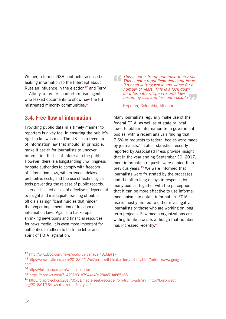Winner, a former NSA contractor accused of leaking information to the Intercept about Russian influence in the election $42$  and Terry J. Albury, a former counterterrorism agent, who leaked documents to show how the FBI mistreated minority communities.<sup>43</sup>

### **3.4. Free flow of information**

Providing public data in a timely manner to reporters is a key tool in ensuring the public's right to know is met. The US has a freedom of information law that should, in principle, make it easier for journalists to uncover information that is of interest to the public. However, there is a longstanding unwillingness by state authorities to comply with freedom of information laws, with extended delays, prohibitive costs, and the use of technological tools preventing the release of public records. Journalists cited a lack of effective independent oversight and inadequate training of public officials as significant hurdles that hinder the proper implementation of freedom of information laws. Against a backdrop of shrinking newsrooms and financial resources for news media, it is even more important for authorities to adhere to both the letter and spirit of FOIA legislation.

*This is not a Trump administration issue.*<br> *This is not a republican democrat issue.*<br> *It's been getting worse and worse for a*<br> *number of years.* This is a lock down *This is not a republican democrat issue. It's been getting worse and worse for a number of years. This is a lock down on information. Open records laws<br>becoming less and less enforceable*<br>Reporter, Columbia, Missouri *becoming less and less enforceable* 

Reporter, Columbia, Missouri

Many journalists regularly make use of the federal FOIA, as well as of state or local laws, to obtain information from government bodies, with a recent analysis finding that 7.6% of requests to federal bodies were made by journalists.<sup>44</sup> Latest statistics recently reported by Associated Press provide insight that in the year ending September 30, 2017, more information requests were denied than previous years.45 We were informed that journalists were frustrated by the processes and the often long delays in response by many bodies, together with the perception that it can be more effective to use informal mechanisms to obtain information. FOIA use is mostly limited to either investigative journalists or those who are working on long term projects. Few media organizations are willing to file lawsuits although that number has increased recently.<sup>46</sup>

<sup>42</sup> [http://www.bbc.com/news/world-us-canada-40168417](http://www.bbc.com/news/world-us-canada-4016841)

<sup>43</sup> [https://www.nytimes.com/2018/04/17/us/politics/fbi-leaker-terry-albury.html?mtrref=www.google.](https://www.nytimes.com/2018/04/17/us/politics/fbi-leaker-terry-albury.html?mtrref=www.google.com) [com](https://www.nytimes.com/2018/04/17/us/politics/fbi-leaker-terry-albury.html?mtrref=www.google.com)

<sup>44</sup> <https://foiamapper.com/who-uses-foia/>

<sup>45</sup><https://apnews.com/714791d91d7944e49a284a51fab65b85>

<sup>46</sup> http://foiaproject.org/2017/05/31/media-seek-records-from-trump-admin/ ; [http://foiaproject.](http://foiaproject.org/2018/01/16/lawsuits-trump-first-year/) [org/2018/01/16/lawsuits-trump-first-year/](http://foiaproject.org/2018/01/16/lawsuits-trump-first-year/)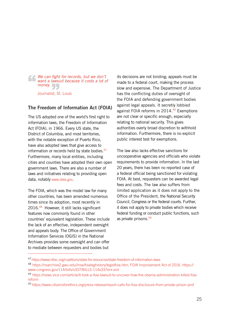*We can fight for records, but we don't want a lawsuit because it costs a lot of*  money.<br>Journalist, St "

Journalist, St. Louis

### The Freedom of Information Act (FOIA)

The US adopted one of the world's first right to information laws, the Freedom of Information Act (FOIA), in 1966. Every US state, the District of Columbia, and most territories, with the notable exception of Puerto Rico, have also adopted laws that give access to information or records held by state bodies.<sup>47</sup> Furthermore, many local entities, including cities and counties have adopted their own open government laws. There are also a number of laws and initiatives relating to providing open data, notably [www.data.gov](https://www.data.gov).

The FOIA, which was the model law for many other countries, has been amended numerous times since its adoption, most recently in 2016.<sup>48</sup> However, it still lacks significant features now commonly found in other countries' equivalent legislation. These include the lack of an effective, independent oversight and appeals body. The Office of Government Information Services (OGIS) in the National Archives provides some oversight and can offer to mediate between requesters and bodies but

its decisions are not binding; appeals must be made to a federal court, making the process slow and expensive. The Department of Justice has the conflicting duties of oversight of the FOIA and defending government bodies against legal appeals. It secretly lobbied against FOIA reforms in 2014.<sup>49</sup> Exemptions are not clear or specific enough, especially relating to national security. This gives authorities overly broad discretion to withhold information. Furthermore, there is no explicit public interest test for exemptions.

The law also lacks effective sanctions for uncooperative agencies and officials who violate requirements to provide information. In the last 20 years, there has been no reported case of a federal official being sanctioned for violating FOIA. At best, requesters can be awarded legal fees and costs. The law also suffers from limited application as it does not apply to the Office of the President, the National Security Council, Congress or the federal courts. Further, it does not apply to private bodies which receive federal funding or conduct public functions, such as private prisons.<sup>50</sup>

<sup>47</sup> <https://www.nfoic.org/coalitions/state-foi-resources/state-freedom-of-information-laws>

<sup>48</sup> https://nsarchive2.gwu.edu//nsa/foialeghistory/legistfoia.htm; FOIA Improvement Act of 2016. [https://](https://www.congress.gov/114/bills/s337/BILLS-114s337enr.xml) [www.congress.gov/114/bills/s337/BILLS-114s337enr.xml](https://www.congress.gov/114/bills/s337/BILLS-114s337enr.xml)

<sup>49</sup> [https://news.vice.com/article/it-took-a-foia-lawsuit-to-uncover-how-the-obama-administration-killed-foia](https://news.vice.com/article/it-took-a-foia-lawsuit-to-uncover-how-the-obama-administration-killed-foia-reform)[reform](https://news.vice.com/article/it-took-a-foia-lawsuit-to-uncover-how-the-obama-administration-killed-foia-reform)

<sup>50</sup> [https://www.citizensforethics.org/press-release/report-calls-for-foia-disclosure-from-private-prison-prof](https://www.citizensforethics.org/press-release/report-calls-for-foia-disclosure-from-private-prison-profiteers)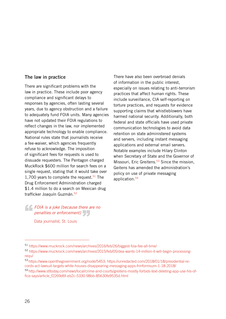### The law in practice

There are significant problems with the law in practice. These include poor agency compliance and significant delays to responses by agencies, often lasting several years, due to agency obstruction and a failure to adequately fund FOIA units. Many agencies have not updated their FOIA regulations to reflect changes in the law, nor implemented appropriate technology to enable compliance. National rules state that journalists receive a fee-waiver, which agencies frequently refuse to acknowledge. The imposition of significant fees for requests is used to dissuade requesters. The Pentagon charged MuckRock \$600 million for search fees on a single request, stating that it would take over 1,700 years to complete the request.<sup>51</sup> The Drug Enforcement Administration charged \$1.4 million to do a search on Mexican drug trafficker Joaquín Guzmán.<sup>52</sup>

There have also been overbroad denials of information in the public interest, especially on issues relating to anti-terrorism practices that affect human rights. These include surveillance, CIA self-reporting on torture practices, and requests for evidence supporting claims that whistleblowers have harmed national security. Additionally, both federal and state officials have used private communication technologies to avoid data retention on state administered systems and servers, including instant messaging applications and external email servers. Notable examples include Hilary Clinton when Secretary of State and the Governor of Missouri, Eric Greitens.<sup>53</sup> Since the mission, Geitens has amended the administration's policy on use of private messaging application.54

*FOIA is a joke [because there are no penalties or enforcement] penalties or enforcement]*

Data journalist, St. Louis

<sup>51</sup> <https://www.muckrock.com/news/archives/2016/feb/26/biggest-foia-fee-all-time/>

<sup>52</sup> [https://www.muckrock.com/news/archives/2015/feb/05/dea-wants-14-million-it-will-begin-processing](https://www.muckrock.com/news/archives/2015/feb/05/dea-wants-14-million-it-will-begin-processing-requ/)[requ/](https://www.muckrock.com/news/archives/2015/feb/05/dea-wants-14-million-it-will-begin-processing-requ/)

<sup>53</sup> https://www.openthegovernment.org/node/5453; https://unredacted.com/2018/01/18/presidential-records-act-lawsuit-targets-white-houses-disappearing-messaging-apps-frinformsum-1-18-2018/

<sup>54</sup> [http://www.stltoday.com/news/local/crime-and-courts/greitens-mostly-forbids-text-deleting-app-use-his-of](http://www.stltoday.com/news/local/crime-and-courts/greitens-mostly-forbids-text-deleting-app-use-his-office-says/article_f2269d6f-eb2c-5330-98bb-85630fe9535d.html)[fice-says/article\\_f2269d6f-eb2c-5330-98bb-85630fe9535d.html](http://www.stltoday.com/news/local/crime-and-courts/greitens-mostly-forbids-text-deleting-app-use-his-office-says/article_f2269d6f-eb2c-5330-98bb-85630fe9535d.html)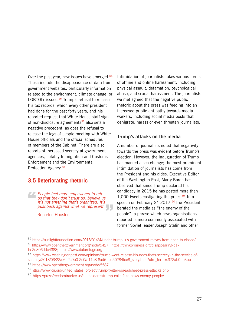Over the past year, new issues have emerged.<sup>55</sup> These include the disappearance of data from government websites, particularly information related to the environment, climate change, or LGBTQI+ issues. $56$  Trump's refusal to release his tax records, which every other president had done for the past forty years, and his reported request that White House staff sign of non-disclosure agreements<sup>57</sup> also sets a negative precedent, as does the refusal to release the logs of people meeting with White House officials and the official schedules of members of the Cabinet. There are also reports of increased secrecy at government agencies, notably Immigration and Customs Enforcement and the Environmental Protection Agency.58

### **3.5 Deteriorating rhetoric**

*People feel more empowered to tell us that they don't trust us, believe us. It's not anything that's organized. It's pushback against what we represent.*<br>Reporter, Houston "

Reporter, Houston

Intimidation of journalists takes various forms of offline and online harassment, including physical assault, defamation, psychological abuse, and sexual harassment. The journalists we met agreed that the negative public rhetoric about the press was feeding into an increased public antipathy towards media workers, including social media posts that denigrate, harass or even threaten journalists.

### Trump's attacks on the media

A number of journalists noted that negativity towards the press was evident before Trump's election. However, the inauguration of Trump has marked a sea change; the most prominent intimidation of journalists has come from the President and his aides. Executive Editor of the Washington Post, Marty Baron has observed that since Trump declared his candidacy in 2015 he has posted more than 1.000 tweets castigating the press. $59$  In a speech on February 24 2017,<sup>60</sup> the President berated the media as "the enemy of the people", a phrase which news organisations reported is more commonly associated with former Soviet leader Joseph Stalin and other

<sup>55</sup> <https://sunlightfoundation.com/2018/01/24/under-trump-u-s-government-moves-from-open-to-closed/>

<sup>56</sup> [https://www.openthegovernment.org/node/5427;](https://www.openthegovernment.org/node/5427) [https://thinkprogress.org/disappearing-da](https://thinkprogress.org/disappearing-data-2d806ddc4388)[ta-2d806ddc4388;](https://thinkprogress.org/disappearing-data-2d806ddc4388) <https://www.datarefuge.org>

<sup>57</sup> [https://www.washingtonpost.com/opinions/trump-wont-release-his-ndas-thats-secrecy-in-the-service-of](https://www.washingtonpost.com/opinions/trump-wont-release-his-ndas-thats-secrecy-in-the-service-of-secrecy/2018/03/22/d6d2c9b0-2e0a-11e8-8ad6-fbc50284fce8_story.html?utm_term=.372ab0ffb3bb)[secrecy/2018/03/22/d6d2c9b0-2e0a-11e8-8ad6-fbc50284fce8\\_story.html?utm\\_term=.372ab0ffb3bb](https://www.washingtonpost.com/opinions/trump-wont-release-his-ndas-thats-secrecy-in-the-service-of-secrecy/2018/03/22/d6d2c9b0-2e0a-11e8-8ad6-fbc50284fce8_story.html?utm_term=.372ab0ffb3bb) <sup>58</sup> <https://www.openthegovernment.org/node/5587>

<sup>59</sup> https://www.cjr.org/united\_states\_project/trump-twitter-spreadsheet-press-attacks.php

<sup>&</sup>lt;sup>60</sup> https://pressfreedomtracker.us/all-incidents/trump-calls-fake-news-enemy-people/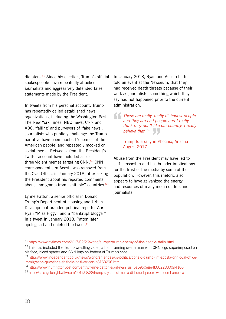dictators.61 Since his election, Trump's official spokespeople have repeatedly attacked journalists and aggressively defended false statements made by the President.

In tweets from his personal account, Trump has repeatedly called established news organizations, including the Washington Post, The New York Times, NBC news, CNN and ABC, 'failing' and purveyors of 'fake news'. Journalists who publicly challenge the Trump narrative have been labelled 'enemies of the American people' and repeatedly mocked on social media. Retweets, from the President's Twitter account have included at least three violent memes targeting CNN.<sup>62</sup> CNN correspondent Jim Acosta was removed from the Oval Office, in January 2018, after asking the President about his reported comments about immigrants from "shithole" countries.<sup>63</sup>

Lynne Patton, a senior official in [Donald](http://www.independent.co.uk/topic/donaldtrump)  [Trump](http://www.independent.co.uk/topic/donaldtrump)'s Department of Housing and Urban Development branded political reporter April Ryan "Miss Piggy" and a "bankrupt blogger" in a tweet in January 2018. Patton later apologised and deleted the tweet. $64$ 

In January 2018, Ryan and Acosta both told an event at the Newseum, that they had received death threats because of their work as journalists, something which they say had not happened prior to the current administration.

These are really, really dishonest people and they are bad people and I really think they don't like our country. I really *and they are bad people and I really think they don't like our country. I really believe that.* <sup>65</sup><br>Trump to a rally in P

Trump to a rally in Phoenix, Arizona August 2017

Abuse from the President may have led to self-censorship and has broader implications for the trust of the media by some of the population. However, this rhetoric also appears to have galvanized the energy and resources of many media outlets and journalists.

<sup>61</sup> <https://www.nytimes.com/2017/02/26/world/europe/trump-enemy-of-the-people-stalin.html>

<sup>&</sup>lt;sup>62</sup> This has included the Trump wrestling video, a train running over a man with CNN logo superimposed on his face, blood spatter and CNN logo on bottom of Trump's shoe

<sup>63</sup> https://www.independent.co.uk/news/world/americas/us-politics/donald-trump-jim-acosta-cnn-oval-officeimmigration-questions-shithole-haiti-african-a8163296.html

<sup>&</sup>lt;sup>64</sup> [https://www.huffingtonpost.com/entry/lynne-patton-april-ryan\\_us\\_5a6950e8e4b0022830094106](https://www.huffingtonpost.com/entry/lynne-patton-april-ryan_us_5a6950e8e4b0022830094106)

<sup>65</sup> <https://chicagotonight.wttw.com/2017/08/28/trump-says-most-media-dishonest-people-who-don-t-america>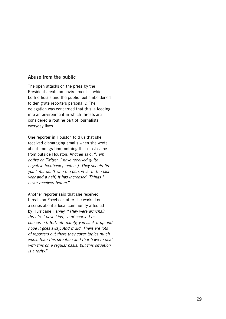### Abuse from the public

The open attacks on the press by the President create an environment in which both officials and the public feel emboldened to denigrate reporters personally. The delegation was concerned that this is feeding into an environment in which threats are considered a routine part of journalists' everyday lives.

One reporter in Houston told us that she received disparaging emails when she wrote about immigration, nothing that most came from outside Houston. Another said, "*I am active on Twitter. I have received quite negative feedback [such as] 'They should fire you.' You don't who the person is. In the last year and a half, it has increased. Things I never received before.*"

Another reporter said that she received threats on Facebook after she worked on a series about a local community affected by Hurricane Harvey. "*They were armchair threats. I have kids, so of course I'm concerned. But, ultimately, you suck it up and hope it goes away. And it did. There are lots of reporters out there they cover topics much worse than this situation and that have to deal with this on a regular basis, but this situation is a rarity.*"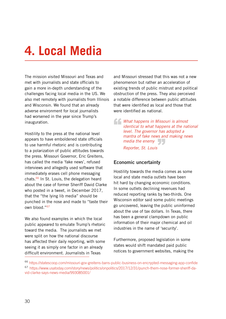# <span id="page-27-0"></span>**4. Local Media**

The mission visited Missouri and Texas and met with journalists and state officials to gain a more in-depth understanding of the challenges facing local media in the US. We also met remotely with journalists from Illinois and Wisconsin. We found that an already adverse environment for local journalists had worsened in the year since Trump's inauguration.

Hostility to the press at the national level appears to have emboldened state officials to use harmful rhetoric and is contributing to a polarization of public attitudes towards the press. Missouri Governor, Eric Greitens, has called the media 'fake news', refused interviews and allegedly used software that immediately erases cell phone messaging chats.<sup>66</sup> In St. Louis, the delegation heard about the case of former Sheriff David Clarke who posted in a tweet, in December 2017. that the "the lying lib media" should be punched in the nose and made to "taste their own blood."67

We also found examples in which the local public appeared to emulate Trump's rhetoric toward the media. The journalists we met were split on how the national discourse has affected their daily reporting, with some seeing it as simply one factor in an already difficult environment. Journalists in Texas

and Missouri stressed that this was not a new phenomenon but rather an acceleration of existing trends of public mistrust and political obstruction of the press. They also perceived a notable difference between public attitudes that were identified as local and those that were identified as national.

*What happens in Missouri is almost identical to what happens at the nat level. The governor has adopted a identical to what happens at the national level. The governor has adopted a mantra of fake news and making news*  media the enemy<br>Reporter, St. Louis *Reporter, St. Louis*

### Economic uncertainty

Hostility towards the media comes as some local and state media outlets have been hit hard by changing economic conditions. In some outlets declining revenues had reduced reporting ranks by two-thirds. One Wisconsin editor said some public meetings go uncovered, leaving the public uninformed about the use of tax dollars. In Texas, there has been a general clampdown on public information of their major chemical and oil industries in the name of 'security'.

Furthermore, proposed legislation in some states would shift mandated paid public notices to government websites, making the

<sup>66</sup> <https://statescoop.com/missouri-gov-greitens-bans-public-business-on-encrypted-messaging-app-confide> 67 https://www.usatoday.com/story/news/politics/onpolitics/2017/12/31/punch-them-nose-former-sheriff-david-clarke-says-news-media/993085001/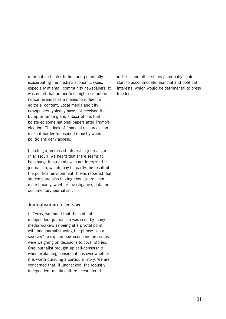information harder to find and potentially exacerbating the media's economic woes, especially at small community newspapers. It was noted that authorities might use public notice revenues as a means to influence editorial content. Local media and city newspapers typically have not received the bump in funding and subscriptions that bolstered some national papers after Trump's election. The lack of financial resources can make it harder to respond robustly when politicians deny access.

[heading a]Increased interest in journalism In Missouri, we heard that there seems to be a surge in students who are interested in journalism, which may be partly the result of the political environment. It was reported that students are also talking about journalism more broadly, whether investigative, data, or documentary journalism.

### Journalism on a see-saw

In Texas, we found that the state of independent journalism was seen by many media workers as being at a pivotal point, with one journalist using the phrase "on a see-saw" to explain how economic pressures were weighing on decisions to cover stories. One journalist brought up self-censorship when explaining considerations over whether it is worth pursuing a particular story. We are concerned that, if unchecked, the robustly independent media culture encountered

in Texas and other states potentially could start to accommodate financial and political interests, which would be detrimental to press freedom.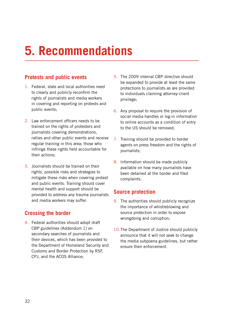# <span id="page-29-0"></span>**5. Recommendations**

### **Protests and public events**

- 1. Federal, state and local authorities need to clearly and publicly reconfirm the rights of journalists and media workers in covering and reporting on protests and public events;
- 2. Law enforcement officers needs to be trained on the rights of protesters and journalists covering demonstrations, rallies and other public events and receive regular training in this area; those who infringe these rights held accountable for their actions;
- 3. Journalists should be trained on their rights, possible risks and strategies to mitigate these risks when covering protest and public events. Training should cover mental health and support should be provided to address any trauma journalists and media workers may suffer.

### **Crossing the border**

4. Federal authorities should adopt draft CBP guidelines (Addendum 1) on secondary searches of journalists and their devices, which has been provided to the Department of Homeland Security and Customs and Border Protection by RSF, CPJ, and the ACOS Alliance;

- 5. The 2009 internal CBP directive should be expanded to provide at least the same protections to journalists as are provided to individuals claiming attorney-client privilege;
- 6. Any proposal to require the provision of social media handles or log-in information to online accounts as a condition of entry to the US should be removed;
- 7. Training should be provided to border agents on press freedom and the rights of journalists;
- 8. Information should be made publicly available on how many journalists have been detained at the border and filed complaints.

### **Source protection**

- 9. The authorities should publicly recognize the importance of whistleblowing and source protection in order to expose wrongdoing and corruption;
- 10. The Department of Justice should publicly announce that it will not seek to change the media subpoena guidelines, but rather ensure their enforcement.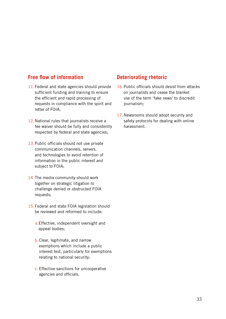### **Free flow of information**

- 11.Federal and state agencies should provide sufficient funding and training to ensure the efficient and rapid processing of requests in compliance with the spirit and letter of FOIA;
- 12. National rules that journalists receive a fee waiver should be fully and consistently respected by federal and state agencies;
- 13.Public officials should not use private communication channels, servers, and technologies to avoid retention of information in the public interest and subject to FOIA;
- 14.The media community should work together on strategic litigation to challenge denied or obstructed FOIA requests;
- 15.Federal and state FOIA legislation should be reviewed and reformed to include:
	- a.Effective, independent oversight and appeal bodies;
	- b.Clear, legitimate, and narrow exemptions which include a public interest test, particularly for exemptions relating to national security;
	- c. Effective sanctions for uncooperative agencies and officials.

### **Deteriorating rhetoric**

- 16.Public officials should desist from attacks on journalists and cease the blanket use of the term 'fake news' to discredit journalism;
- 17.Newsrooms should adopt security and safety protocols for dealing with online harassment.